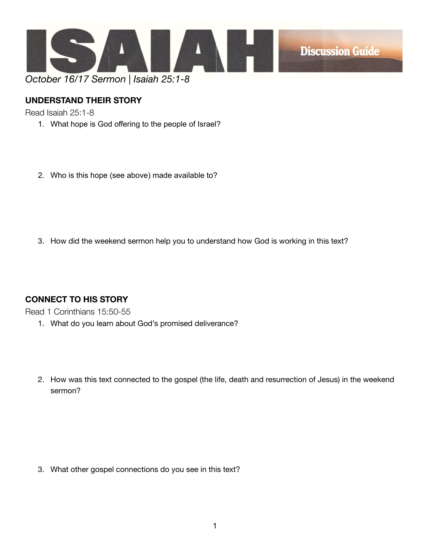

## **UNDERSTAND THEIR STORY**

Read Isaiah 25:1-8

- 1. What hope is God offering to the people of Israel?
- 2. Who is this hope (see above) made available to?

3. How did the weekend sermon help you to understand how God is working in this text?

## **CONNECT TO HIS STORY**

Read 1 Corinthians 15:50-55

- 1. What do you learn about God's promised deliverance?
- 2. How was this text connected to the gospel (the life, death and resurrection of Jesus) in the weekend sermon?

3. What other gospel connections do you see in this text?